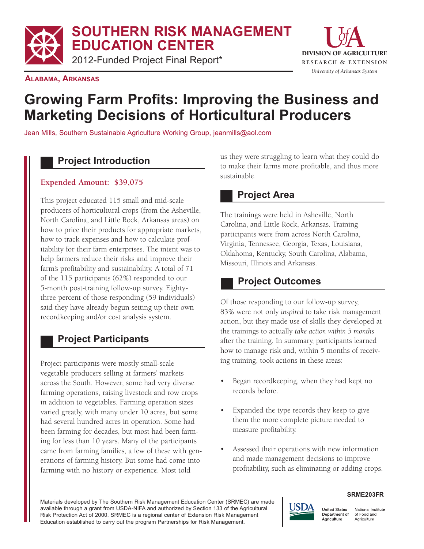**SOUTHERN RISK MANAGEMENT**

**EDUCATION CENTER**

2012-Funded Project Final Report\* The Research & EXTENSION



**ALABAMA, ARKANSAS**

# **Growing Farm Profits: Improving the Business and Marketing Decisions of Horticultural Producers**

Jean Mills, Southern Sustainable Agriculture Working Group, jeanmills@aol.com

### **Project Introduction**

#### **Expended Amount: \$39,075**

This project educated 115 small and mid-scale producers of horticultural crops (from the Asheville, North Carolina, and Little Rock, Arkansas areas) on how to price their products for appropriate markets, itability for their farm enterprises. The intent was to help farmers reduce their risks and improve their farm's profitability and sustainability. A total of 71 of the 115 participants (62%) responded to our 5-month post-training follow-up survey. Eighty- three percent of those responding (59 individuals) said they have already begun setting up their own recordkeeping and/or cost analysis system. how to track expenses and how to calculate prof-

# **Project Participants**

Project participants were mostly small-scale vegetable producers selling at farmers' markets across the South. However, some had very diverse farming operations, raising livestock and row crops in addition to vegetables. Farming operation sizes varied greatly, with many under 10 acres, but some had several hundred acres in operation. Some had been farming for decades, but most had been farm- ing for less than 10 years. Many of the participants came from farming families, a few of these with gen- erations of farming history. But some had come into farming with no history or experience. Most told

 us they were struggling to learn what they could do to make their farms more profitable, and thus more sustainable.

### **Project Area**

 The trainings were held in Asheville, North Carolina, and Little Rock, Arkansas. Training participants were from across North Carolina, Virginia, Tennessee, Georgia, Texas, Louisiana, Missouri, Illinois and Arkansas. Oklahoma, Kentucky, South Carolina, Alabama,

# **Project Outcomes**

Of those responding to our follow-up survey, 83% were not only *inspired* to take risk management action, but they made use of skills they developed at  the trainings to actually *take action within 5 months* after the training. In summary, participants learned how to manage risk and, within 5 months of receiv-ing training, took actions in these areas:

- • Began recordkeeping, when they had kept no records before.
- • Expanded the type records they keep to give them the more complete picture needed to measure profitability.
- • Assessed their operations with new information and made management decisions to improve profitability, such as eliminating or adding crops.



#### **SRME203FR**

**United States** National Institute Department of of Food and Agriculture